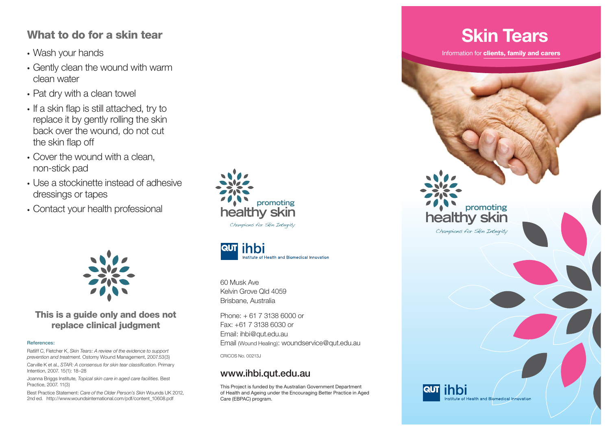#### **What to do for a skin tear**

- Wash your hands
- Gently clean the wound with warm clean water
- Pat dry with a clean towel
- If a skin flap is still attached, try to replace it by gently rolling the skin back over the wound, do not cut the skin flap off
- Cover the wound with a clean, non-stick pad
- Use a stockinette instead of adhesive dressings or tapes
- Contact your health professional





#### **This is a guide only and does not replace clinical judgment**

#### **References:**

Ratliff C, Fletcher K, *Skin Tears: A review of the evidence to support prevention and treatment.* Ostomy Wound Management, 2007.53(3)

Carville K et al., *STAR: A consensus for skin tear classification*. Primary Intention, 2007. 15(1): 18–28

Joanna Briggs Institute, *Topical skin care in aged care facilities*. Best Practice, 2007. 11(3)

Best Practice Statement: *Care of the Older Person's Skin* Wounds UK 2012, 2nd ed. http://www.woundsinternational.com/pdf/content\_10608.pdf



60 Musk AveKelvin Grove Qld 4059Brisbane, Australia

Phone: + 61 7 3138 6000 or Fax: +61 7 3138 6030 orEmail: ihbi@qut.edu.au Email (Wound Healing): woundservice@qut.edu.au

CRICOS No. 00213J

#### **www.ihbi.qut.edu.au**

This Project is funded by the Australian Government Department of Health and Ageing under the Encouraging Better Practice in Aged Care (EBPAC) program.

### **Skin Tears**

Information for **clients, family and carers**